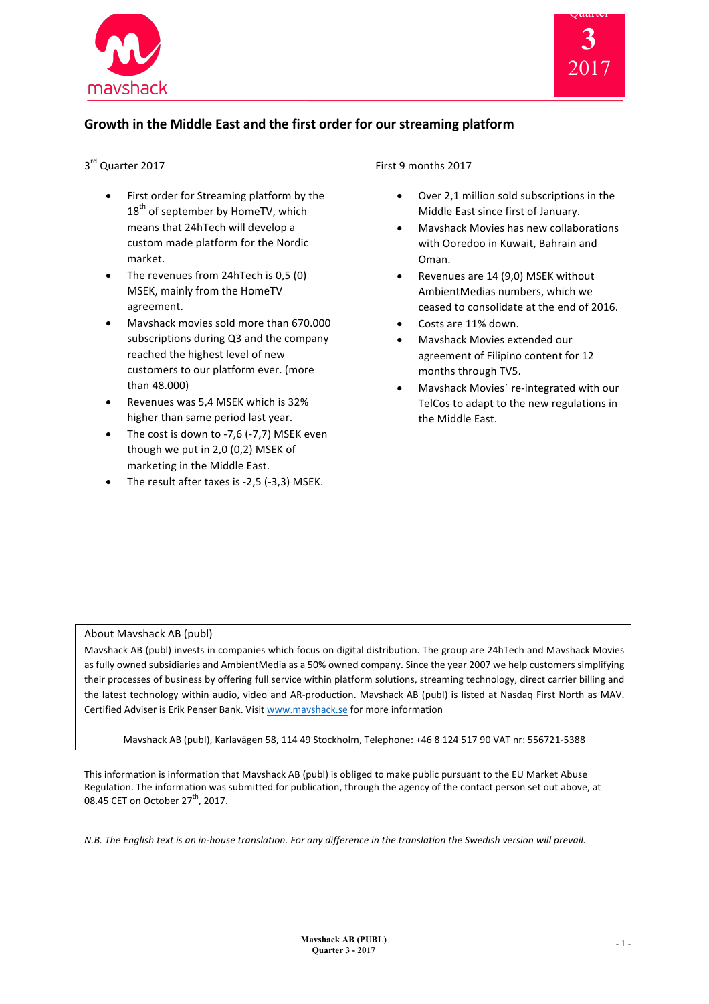



# Growth in the Middle East and the first order for our streaming platform

# 3<sup>rd</sup> Quarter 2017

- First order for Streaming platform by the 18<sup>th</sup> of september by HomeTV, which means that 24hTech will develop a custom made platform for the Nordic market.
- The revenues from 24hTech is 0,5 (0) MSEK, mainly from the HomeTV agreement.
- Mavshack movies sold more than 670.000 subscriptions during Q3 and the company reached the highest level of new customers to our platform ever. (more than 48.000)
- Revenues was 5.4 MSEK which is 32% higher than same period last year.
- The cost is down to -7,6 (-7,7) MSEK even though we put in  $2,0$  (0,2) MSEK of marketing in the Middle East.
- The result after taxes is  $-2,5$  ( $-3,3$ ) MSEK.

## First 9 months 2017

- Over 2,1 million sold subscriptions in the Middle East since first of January.
- Mavshack Movies has new collaborations with Ooredoo in Kuwait, Bahrain and Oman.
- Revenues are 14 (9,0) MSEK without AmbientMedias numbers, which we ceased to consolidate at the end of 2016.
- Costs are 11% down.
- Mavshack Movies extended our agreement of Filipino content for 12 months through TV5.
- Mavshack Movies' re-integrated with our TelCos to adapt to the new regulations in the Middle East.

#### About Mavshack AB (publ)

Mavshack AB (publ) invests in companies which focus on digital distribution. The group are 24hTech and Mavshack Movies as fully owned subsidiaries and AmbientMedia as a 50% owned company. Since the year 2007 we help customers simplifying their processes of business by offering full service within platform solutions, streaming technology, direct carrier billing and the latest technology within audio, video and AR-production. Mavshack AB (publ) is listed at Nasdaq First North as MAV. Certified Adviser is Erik Penser Bank. Visit www.mavshack.se for more information

Mavshack AB (publ), Karlavägen 58, 114 49 Stockholm, Telephone: +46 8 124 517 90 VAT nr: 556721-5388

This information is information that Mavshack AB (publ) is obliged to make public pursuant to the EU Market Abuse Regulation. The information was submitted for publication, through the agency of the contact person set out above, at 08.45 CET on October  $27<sup>th</sup>$ , 2017.

*N.B.* The English text is an in-house translation. For any difference in the translation the Swedish version will prevail.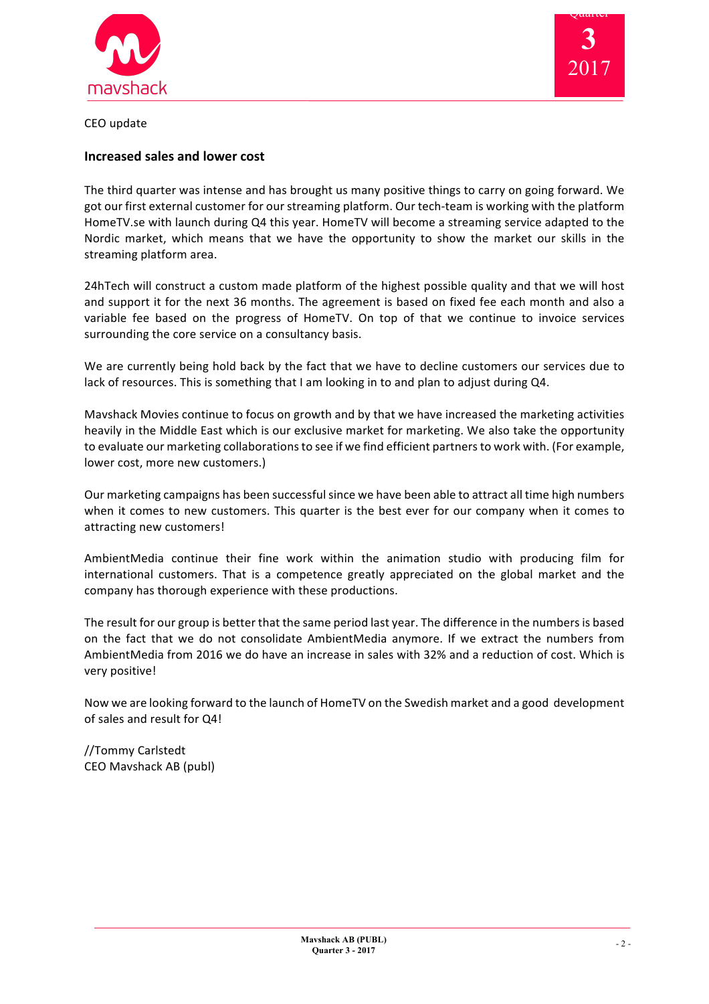



CEO update

## **Increased sales and lower cost**

The third quarter was intense and has brought us many positive things to carry on going forward. We got our first external customer for our streaming platform. Our tech-team is working with the platform HomeTV.se with launch during Q4 this year. HomeTV will become a streaming service adapted to the Nordic market, which means that we have the opportunity to show the market our skills in the streaming platform area.

24hTech will construct a custom made platform of the highest possible quality and that we will host and support it for the next 36 months. The agreement is based on fixed fee each month and also a variable fee based on the progress of HomeTV. On top of that we continue to invoice services surrounding the core service on a consultancy basis.

We are currently being hold back by the fact that we have to decline customers our services due to lack of resources. This is something that I am looking in to and plan to adjust during Q4.

Mayshack Movies continue to focus on growth and by that we have increased the marketing activities heavily in the Middle East which is our exclusive market for marketing. We also take the opportunity to evaluate our marketing collaborations to see if we find efficient partners to work with. (For example, lower cost, more new customers.)

Our marketing campaigns has been successful since we have been able to attract all time high numbers when it comes to new customers. This quarter is the best ever for our company when it comes to attracting new customers!

AmbientMedia continue their fine work within the animation studio with producing film for international customers. That is a competence greatly appreciated on the global market and the company has thorough experience with these productions.

The result for our group is better that the same period last year. The difference in the numbers is based on the fact that we do not consolidate AmbientMedia anymore. If we extract the numbers from AmbientMedia from 2016 we do have an increase in sales with 32% and a reduction of cost. Which is very positive!

Now we are looking forward to the launch of HomeTV on the Swedish market and a good development of sales and result for Q4!

//Tommy Carlstedt CEO Mavshack AB (publ)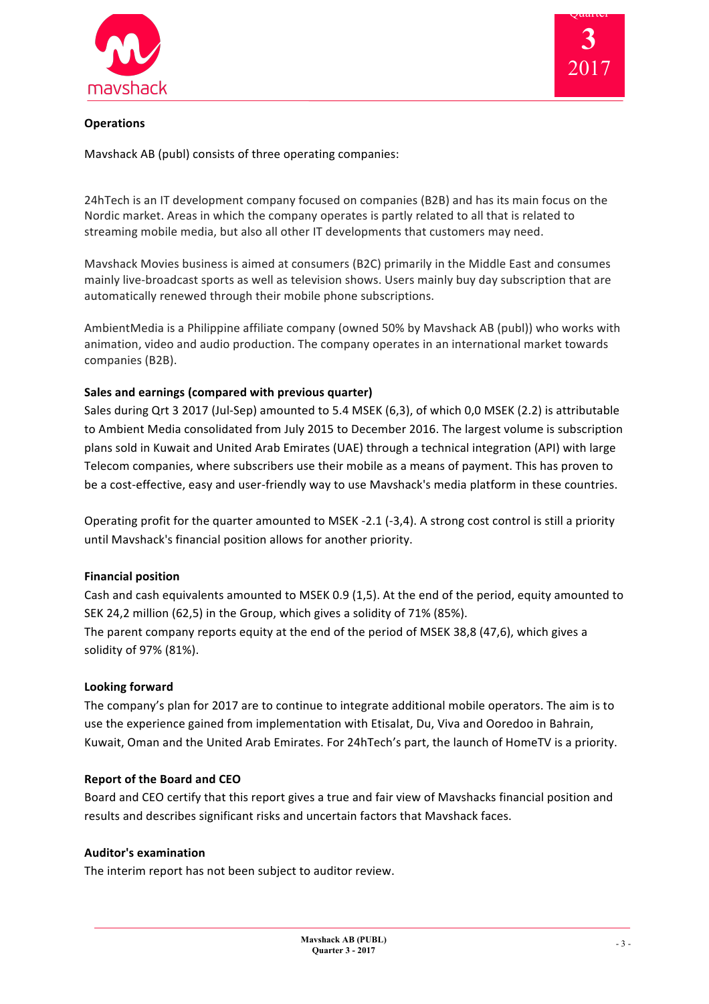



# **Operations**

Mavshack AB (publ) consists of three operating companies:

24hTech is an IT development company focused on companies (B2B) and has its main focus on the Nordic market. Areas in which the company operates is partly related to all that is related to streaming mobile media, but also all other IT developments that customers may need.

Mavshack Movies business is aimed at consumers (B2C) primarily in the Middle East and consumes mainly live-broadcast sports as well as television shows. Users mainly buy day subscription that are automatically renewed through their mobile phone subscriptions.

AmbientMedia is a Philippine affiliate company (owned 50% by Mavshack AB (publ)) who works with animation, video and audio production. The company operates in an international market towards companies (B2B).

### Sales and earnings (compared with previous quarter)

Sales during Qrt 3 2017 (Jul-Sep) amounted to 5.4 MSEK (6,3), of which 0,0 MSEK (2.2) is attributable to Ambient Media consolidated from July 2015 to December 2016. The largest volume is subscription plans sold in Kuwait and United Arab Emirates (UAE) through a technical integration (API) with large Telecom companies, where subscribers use their mobile as a means of payment. This has proven to be a cost-effective, easy and user-friendly way to use Mavshack's media platform in these countries.

Operating profit for the quarter amounted to MSEK -2.1 (-3,4). A strong cost control is still a priority until Mavshack's financial position allows for another priority.

#### **Financial position**

Cash and cash equivalents amounted to MSEK 0.9 (1.5). At the end of the period, equity amounted to SEK 24,2 million (62,5) in the Group, which gives a solidity of 71% (85%). The parent company reports equity at the end of the period of MSEK 38,8 (47,6), which gives a solidity of 97% (81%).

#### **Looking forward**

The company's plan for 2017 are to continue to integrate additional mobile operators. The aim is to use the experience gained from implementation with Etisalat, Du, Viva and Ooredoo in Bahrain, Kuwait, Oman and the United Arab Emirates. For 24hTech's part, the launch of HomeTV is a priority.

#### **Report of the Board and CEO**

Board and CEO certify that this report gives a true and fair view of Mavshacks financial position and results and describes significant risks and uncertain factors that Mayshack faces.

#### **Auditor's examination**

The interim report has not been subject to auditor review.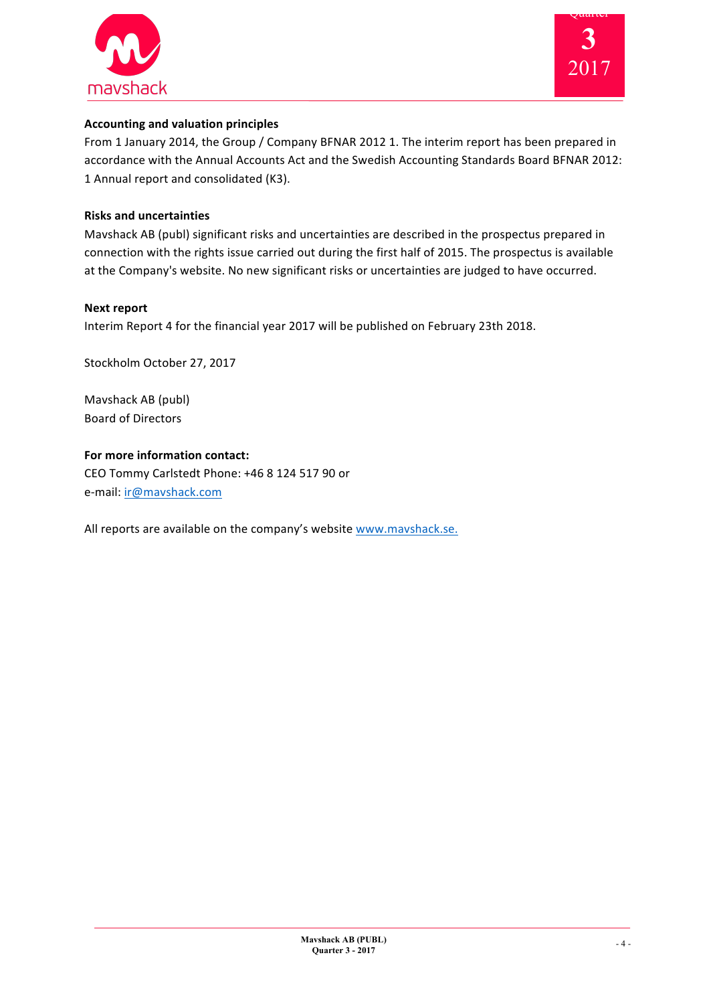



# **Accounting and valuation principles**

From 1 January 2014, the Group / Company BFNAR 2012 1. The interim report has been prepared in accordance with the Annual Accounts Act and the Swedish Accounting Standards Board BFNAR 2012: 1 Annual report and consolidated (K3).

## **Risks and uncertainties**

Mavshack AB (publ) significant risks and uncertainties are described in the prospectus prepared in connection with the rights issue carried out during the first half of 2015. The prospectus is available at the Company's website. No new significant risks or uncertainties are judged to have occurred.

### **Next report**

Interim Report 4 for the financial year 2017 will be published on February 23th 2018.

Stockholm October 27, 2017

Mavshack AB (publ) Board of Directors

**For more information contact:** CEO Tommy Carlstedt Phone: +46 8 124 517 90 or e-mail: ir@mavshack.com

All reports are available on the company's website www.mavshack.se.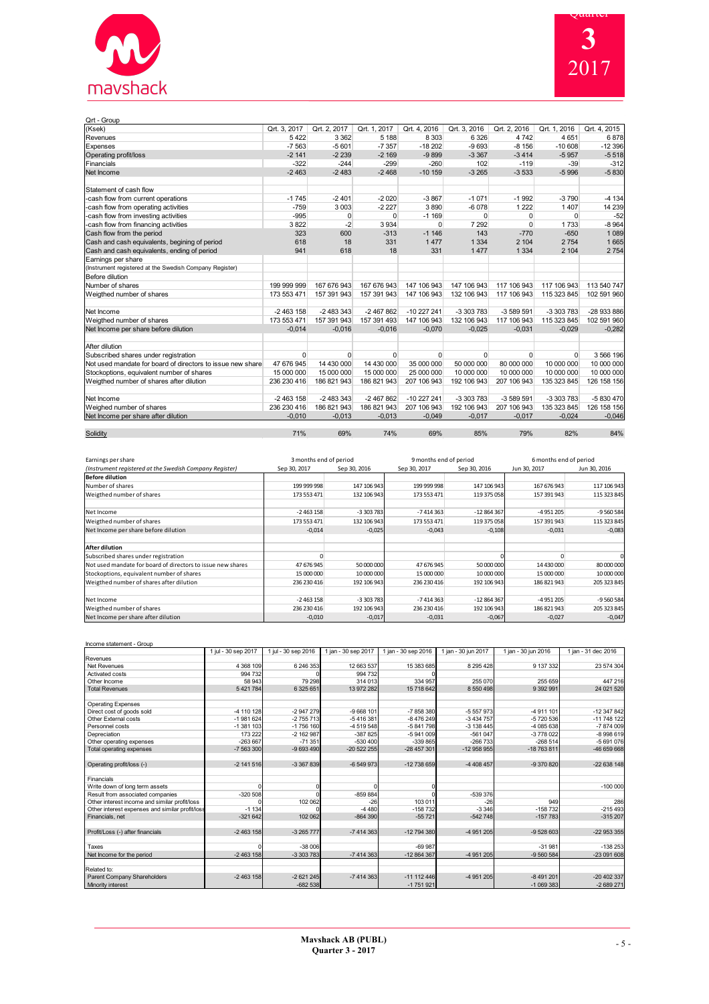

| Qrt - Group                                                |              |              |              |                |              |              |              |              |
|------------------------------------------------------------|--------------|--------------|--------------|----------------|--------------|--------------|--------------|--------------|
| (Ksek)                                                     | Qrt. 3, 2017 | Qrt. 2, 2017 | Qrt. 1, 2017 | Qrt. 4, 2016   | Qrt. 3, 2016 | Qrt. 2, 2016 | Qrt. 1, 2016 | Qrt. 4, 2015 |
| Revenues                                                   | 5422         | 3 3 6 2      | 5 1 8 8      | 8 3 0 3        | 6 3 2 6      | 4742         | 4651         | 6878         |
| Expenses                                                   | $-7563$      | $-5601$      | $-7357$      | $-18202$       | $-9693$      | $-8156$      | $-10608$     | $-12396$     |
| Operating profit/loss                                      | $-2141$      | $-2239$      | $-2169$      | $-9899$        | $-3367$      | $-3414$      | $-5957$      | $-5518$      |
| Financials                                                 | $-322$       | $-244$       | $-299$       | $-260$         | 102          | $-119$       | $-39$        | $-312$       |
| Net Income                                                 | $-2463$      | $-2483$      | $-2468$      | $-10159$       | $-3265$      | $-3533$      | $-5996$      | $-5830$      |
| Statement of cash flow                                     |              |              |              |                |              |              |              |              |
| -cash flow from current operations                         | $-1745$      | $-2401$      | $-2020$      | $-3867$        | $-1071$      | $-1992$      | $-3790$      | $-4134$      |
| -cash flow from operating activities                       | $-759$       | 3003         | $-2227$      | 3890           | $-6078$      | 1 2 2 2      | 1 4 0 7      | 14 239       |
| -cash flow from investing activities                       | $-995$       | $\Omega$     | $\Omega$     | $-1169$        | $\Omega$     | $\Omega$     | $\Omega$     | $-52$        |
| -cash flow from financing activities                       | 3822         | $-2$         | 3 9 3 4      | $\overline{0}$ | 7 2 9 2      | 0            | 1733         | $-8964$      |
| Cash flow from the period                                  | 323          | 600          | $-313$       | $-1146$        | 143          | $-770$       | $-650$       | 1089         |
| Cash and cash equivalents, begining of period              | 618          | 18           | 331          | 1477           | 1 3 3 4      | 2 104        | 2754         | 1665         |
| Cash and cash equivalents, ending of period                | 941          | 618          | 18           | 331            | 1 4 7 7      | 1 3 3 4      | 2 104        | 2754         |
| Earnings per share                                         |              |              |              |                |              |              |              |              |
| (Instrument registered at the Swedish Company Register)    |              |              |              |                |              |              |              |              |
| Before dilution                                            |              |              |              |                |              |              |              |              |
| Number of shares                                           | 199 999 999  | 167 676 943  | 167 676 943  | 147 106 943    | 147 106 943  | 117 106 943  | 117 106 943  | 113 540 747  |
| Weigthed number of shares                                  | 173 553 471  | 157 391 943  | 157 391 943  | 147 106 943    | 132 106 943  | 117 106 943  | 115 323 845  | 102 591 960  |
| Net Income                                                 | $-2463158$   | $-24833343$  | $-2467862$   | $-10227241$    | -3 303 783   | -3 589 591   | -3 303 783   | -28 933 886  |
| Weigthed number of shares                                  | 173 553 471  | 157 391 943  | 157 391 493  | 147 106 943    | 132 106 943  | 117 106 943  | 115 323 845  | 102 591 960  |
| Net Income per share before dilution                       | $-0,014$     | $-0.016$     | $-0.016$     | $-0,070$       | $-0,025$     | $-0,031$     | $-0.029$     | $-0,282$     |
| After dilution                                             |              |              |              |                |              |              |              |              |
| Subscribed shares under registration                       | $\Omega$     | $\Omega$     | $\Omega$     | $\Omega$       | $\Omega$     | $\Omega$     | $\Omega$     | 3 566 196    |
| Not used mandate for board of directors to issue new share | 47 676 945   | 14 430 000   | 14 430 000   | 35 000 000     | 50 000 000   | 80 000 000   | 10 000 000   | 10 000 000   |
| Stockoptions, equivalent number of shares                  | 15 000 000   | 15 000 000   | 15 000 000   | 25 000 000     | 10 000 000   | 10 000 000   | 10 000 000   | 10 000 000   |
| Weigthed number of shares after dilution                   | 236 230 416  | 186 821 943  | 186 821 943  | 207 106 943    | 192 106 943  | 207 106 943  | 135 323 845  | 126 158 156  |
| Net Income                                                 | $-2463158$   | $-24833343$  | $-2467862$   | $-10227241$    | -3 303 783   | -3 589 591   | -3 303 783   | -5 830 470   |
| Weighed number of shares                                   | 236 230 416  | 186 821 943  | 186 821 943  | 207 106 943    | 192 106 943  | 207 106 943  | 135 323 845  | 126 158 156  |
| Net Income per share after dilution                        | $-0,010$     | $-0,013$     | $-0,013$     | $-0,049$       | $-0,017$     | $-0,017$     | $-0,024$     | $-0,046$     |
| Solidity                                                   | 71%          | 69%          | 74%          | 69%            | 85%          | 79%          | 82%          | 84%          |

| Earnings per share                                          | 3 months end of period |              |              | 9 months end of period |              | 6 months end of period |  |
|-------------------------------------------------------------|------------------------|--------------|--------------|------------------------|--------------|------------------------|--|
| (Instrument registered at the Swedish Company Register)     | Sep 30, 2017           | Sep 30, 2016 | Sep 30, 2017 | Sep 30, 2016           | Jun 30, 2017 | Jun 30, 2016           |  |
| Before dilution                                             |                        |              |              |                        |              |                        |  |
| Number of shares                                            | 199 999 998            | 147 106 943  | 199 999 998  | 147 106 943            | 167 676 943  | 117 106 943            |  |
| Weigthed number of shares                                   | 173 553 471            | 132 106 943  | 173 553 471  | 119 375 058            | 157 391 943  | 115 323 845            |  |
| Net Income                                                  | $-2463158$             | -3 303 783   | $-7414363$   | $-12864367$            | $-4951205$   | $-9560584$             |  |
| Weigthed number of shares                                   | 173 553 471            | 132 106 943  | 173 553 471  | 119 375 058            | 157 391 943  | 115 323 845            |  |
| Net Income per share before dilution                        | $-0,014$               | $-0,025$     | $-0,043$     | $-0,108$               | $-0,031$     | $-0,083$               |  |
| After dilution                                              |                        |              |              |                        |              |                        |  |
| Subscribed shares under registration                        |                        |              |              |                        |              | C                      |  |
| Not used mandate for board of directors to issue new shares | 47 676 945             | 50 000 000   | 47 676 945   | 50 000 000             | 14 430 000   | 80 000 000             |  |
| Stockoptions, equivalent number of shares                   | 15 000 000             | 10 000 000   | 15 000 000   | 10 000 000             | 15 000 000   | 10 000 000             |  |
| Weigthed number of shares after dilution                    | 236 230 416            | 192 106 943  | 236 230 416  | 192 106 943            | 186 821 943  | 205 323 845            |  |
| Net Income                                                  | $-2463158$             | -3 303 783   | $-7414363$   | $-12864367$            | $-4951205$   | $-9560584$             |  |
| Weigthed number of shares                                   | 236 230 416            | 192 106 943  | 236 230 416  | 192 106 943            | 186 821 943  | 205 323 845            |  |
| Net Income per share after dilution                         | $-0,010$               | $-0,017$     | $-0,031$     | $-0,067$               | $-0,027$     | $-0,047$               |  |

| Income statement - Group                        |                     |                     |                     |                     |                     |                     |                     |
|-------------------------------------------------|---------------------|---------------------|---------------------|---------------------|---------------------|---------------------|---------------------|
|                                                 | 1 jul - 30 sep 2017 | 1 jul - 30 sep 2016 | 1 jan - 30 sep 2017 | 1 jan - 30 sep 2016 | 1 jan - 30 jun 2017 | 1 jan - 30 jun 2016 | 1 jan - 31 dec 2016 |
| Revenues                                        |                     |                     |                     |                     |                     |                     |                     |
| Net Revenues                                    | 4 368 109           | 6 246 353           | 12 663 537          | 15 383 685          | 8 2 9 5 4 2 8       | 9 137 332           | 23 574 304          |
| Activated costs                                 | 994 732             |                     | 994 732             |                     |                     |                     |                     |
| Other Income                                    | 58 943              | 79 298              | 314 013             | 334 957             | 255 070             | 255 659             | 447 216             |
| <b>Total Revenues</b>                           | 5 421 784           | 6 325 651           | 13 972 282          | 15 718 642          | 8 550 498           | 9 3 9 2 9 9 1       | 24 021 520          |
| <b>Operating Expenses</b>                       |                     |                     |                     |                     |                     |                     |                     |
| Direct cost of goods sold                       | -4 110 128          | -2 947 279          | -9 668 101          | -7858380            | -5 557 973          | -4 911 101          | -12 347 842         |
| Other External costs                            | $-1981624$          | $-2755713$          | $-5416381$          | -8 476 249          | $-3434757$          | -5 720 536          | $-11748122$         |
| Personnel costs                                 | $-1381103$          | -1 756 160          | -4 519 548          | -5 841 798          | -3 138 445          | -4 085 638          | -7874009            |
| Depreciation                                    | 173 222             | $-2$ 162 987        | $-387825$           | $-5941009$          | $-561047$           | -3778022            | $-8998619$          |
| Other operating expenses                        | $-263667$           | $-71.351$           | $-530400$           | $-339865$           | $-266733$           | $-268514$           | -5 691 076          |
| Total operating expenses                        | -7 563 300          | -9 693 490          | $-20522255$         | -28 457 301         | $-12958955$         | -18 763 811         | -46 659 668         |
| Operating profit/loss (-)                       | $-2$ 141 516        | -3 367 839          | $-6549973$          | $-12738659$         | -4 408 457          | -9 370 820          | $-22638148$         |
| Financials                                      |                     |                     |                     |                     |                     |                     |                     |
| Write down of long term assets                  |                     |                     |                     |                     |                     |                     | $-100000$           |
| Result from associated companies                | $-320508$           |                     | $-859884$           |                     | -539 376            |                     |                     |
| Other interest income and similar profit/loss   |                     | 102 062             | $-26$               | 103 011             | $-26$               | 949                 | 286                 |
| Other interest expenses and similar profit/loss | $-1134$             |                     | $-4480$             | $-158732$           | $-3,346$            | $-158732$           | $-215493$           |
| Financials, net                                 | $-321642$           | 102 062             | $-864390$           | $-55721$            | $-542748$           | $-157783$           | $-315207$           |
| Profit/Loss (-) after financials                | $-2463158$          | -3 265 777          | $-7414363$          | -12 794 380         | -4 951 205          | $-9528603$          | -22 953 355         |
| Taxes                                           |                     | $-38006$            |                     | $-69987$            |                     | $-31981$            | $-138253$           |
| Net Income for the period                       | $-2463158$          | -3 303 783          | -7 414 363          | -12 864 367         | -4 951 205          | -9 560 584          | -23 091 608         |
| Related to:                                     |                     |                     |                     |                     |                     |                     |                     |
| Parent Company Shareholders                     | $-2463158$          | $-2621245$          | $-7414363$          | $-11$ 112 446       | -4 951 205          | $-8491201$          | -20 402 337         |
| Minority interest                               |                     | $-682538$           |                     | $-1751921$          |                     | $-1069383$          | -2 689 271          |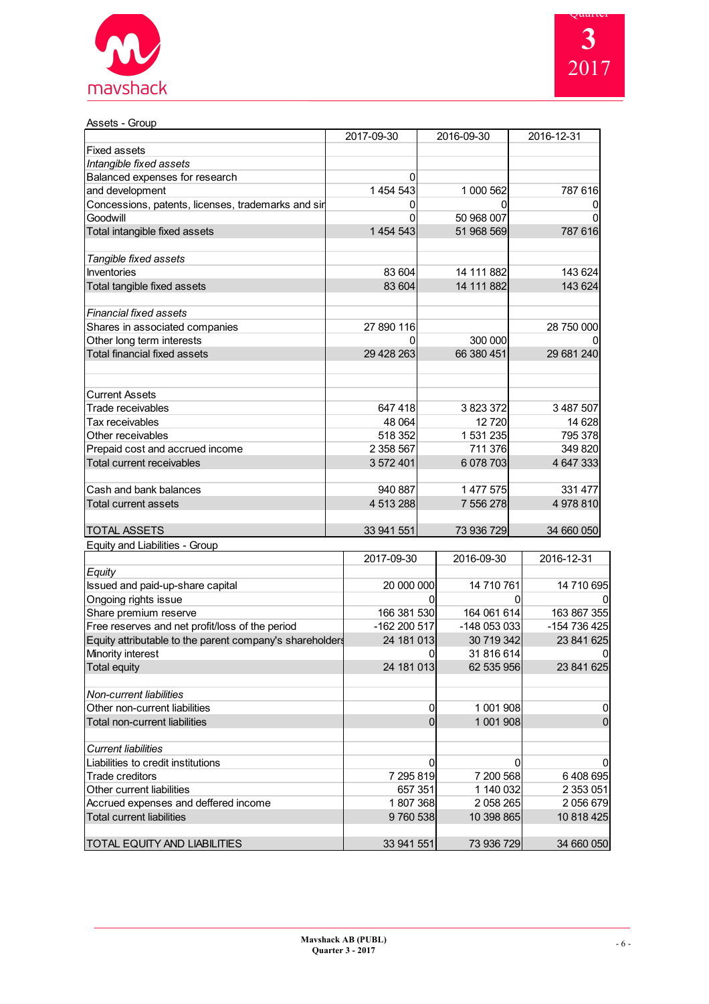



| Assets - Group                                           |              |                 |                |
|----------------------------------------------------------|--------------|-----------------|----------------|
|                                                          | 2017-09-30   | 2016-09-30      | 2016-12-31     |
| <b>Fixed assets</b>                                      |              |                 |                |
| Intangible fixed assets                                  |              |                 |                |
| Balanced expenses for research                           | 0            |                 |                |
| and development                                          | 1 454 543    | 1 000 562       | 787 616        |
| Concessions, patents, licenses, trademarks and sir       | 0            | O               | 0              |
| Goodwill                                                 | 0            | 50 968 007      | ŋ              |
| Total intangible fixed assets                            | 1 454 543    | 51 968 569      | 787 616        |
| Tangible fixed assets                                    |              |                 |                |
| Inventories                                              | 83 604       | 14 111 882      | 143 624        |
| Total tangible fixed assets                              | 83 604       | 14 111 882      | 143 624        |
| <b>Financial fixed assets</b>                            |              |                 |                |
| Shares in associated companies                           | 27 890 116   |                 | 28 750 000     |
| Other long term interests                                | ი            | 300 000         |                |
| <b>Total financial fixed assets</b>                      | 29 428 263   | 66 380 451      | 29 681 240     |
| <b>Current Assets</b>                                    |              |                 |                |
| Trade receivables                                        | 647 418      | 3823372         | 3 487 507      |
| Tax receivables                                          | 48 064       | 12720           | 14 628         |
| Other receivables                                        | 518 352      | 1 531 235       | 795 378        |
| Prepaid cost and accrued income                          | 2 358 567    | 711 376         | 349 820        |
| Total current receivables                                | 3 572 401    | 6 078 703       | 4 647 333      |
| Cash and bank balances                                   | 940 887      | 1 477 575       | 331 477        |
| <b>Total current assets</b>                              | 4 513 288    | 7 556 278       | 4978810        |
| <b>TOTAL ASSETS</b>                                      | 33 941 551   | 73 936 729      | 34 660 050     |
| Equity and Liabilities - Group                           |              |                 |                |
|                                                          | 2017-09-30   | 2016-09-30      | 2016-12-31     |
| Equity                                                   |              |                 |                |
| Issued and paid-up-share capital                         | 20 000 000   | 14 710 761      | 14 710 695     |
| Ongoing rights issue                                     |              | 0               | 0<br>0         |
| Share premium reserve                                    | 166 381 530  | 164 061 614     | 163 867 355    |
| Free reserves and net profit/loss of the period          | -162 200 517 | -148 053 033    | -154 736 425   |
| Equity attributable to the parent company's shareholders | 24 181 013   | 30 719 342      | 23 841 625     |
| Minority interest                                        |              | 0<br>31 816 614 | 0              |
| <b>Total equity</b>                                      | 24 181 013   | 62 535 956      | 23 841 625     |
| <b>Non-current liabilities</b>                           |              |                 |                |
| Other non-current liabilities                            |              | 1 001 908<br>0  | 0              |
| Total non-current liabilities                            |              | 1 001 908<br>0  | $\overline{0}$ |
| <b>Current liabilities</b>                               |              |                 |                |
| Liabilities to credit institutions                       |              | 0               | 0<br>0         |
| Trade creditors                                          | 7 295 819    | 7 200 568       | 6408695        |
| Other current liabilities                                | 657 351      | 1 140 032       | 2 353 051      |
| Accrued expenses and deffered income                     | 1807368      | 2 058 265       | 2056679        |

Total current liabilities 9 760 538 10 398 865 10 818 425

TOTAL EQUITY AND LIABILITIES 23 941 551 33 941 551 73 936 729 34 660 050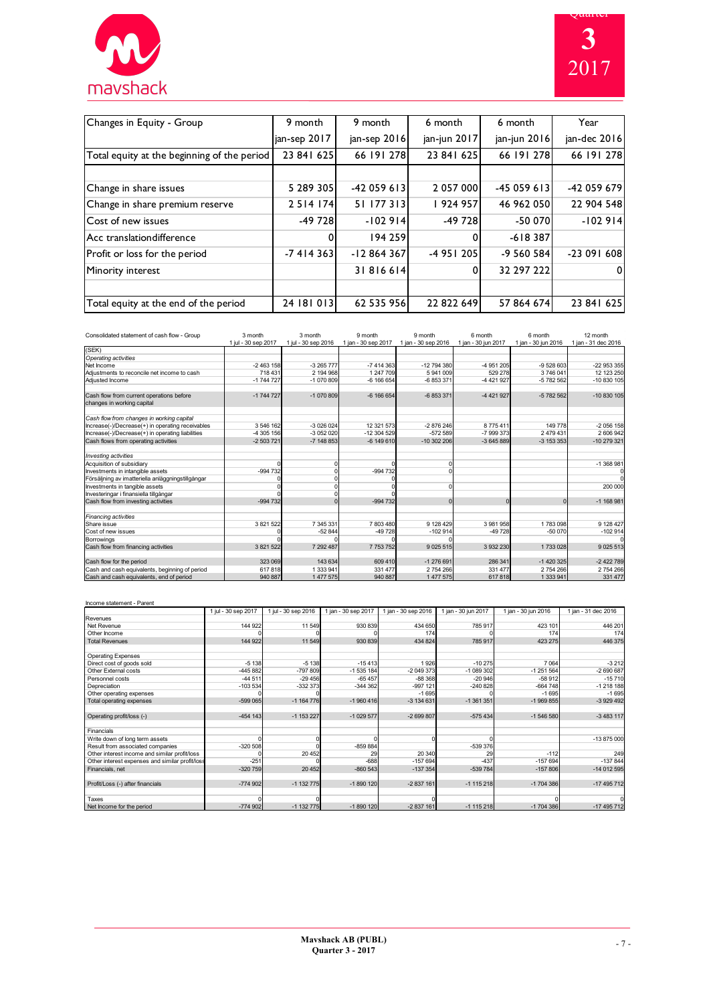| mavshack |  |
|----------|--|

a sa nag



| Changes in Equity - Group                   | 9 month      | 9 month      | 6 month      | 6 month      | Year         |
|---------------------------------------------|--------------|--------------|--------------|--------------|--------------|
|                                             | jan-sep 2017 | jan-sep 2016 | jan-jun 2017 | jan-jun 2016 | jan-dec 2016 |
| Total equity at the beginning of the period | 23 841 625   | 66 191 278   | 23 841 625   | 66 191 278   | 66 191 278   |
|                                             |              |              |              |              |              |
| Change in share issues                      | 5 289 305    | $-42059613$  | 2 057 000    | $-45059613$  | -42 059 679  |
| Change in share premium reserve             | 2 5 14 1 74  | 51 177 313   | 924 957      | 46 962 050   | 22 904 548   |
| Cost of new issues                          | $-49728$     | $-102914$    | -49 728      | -50 070      | $-102914$    |
| Acc translation difference                  |              | 194 259      | $\Omega$     | $-618387$    |              |
| Profit or loss for the period               | -7414363     | $-12864367$  | $-4951205$   | $-9560584$   | $-23091608$  |
| Minority interest                           |              | 31816614     | $\Omega$     | 32 297 222   | $\Omega$     |
|                                             |              |              |              |              |              |
| Total equity at the end of the period       | 24 181 013   | 62 535 956   | 22 822 649   | 57 864 674   | 23 841 625   |

| Consolidated statement of cash flow - Group                            | 3 month             | 3 month             | 9 month             | 9 month             | 6 month             | 6 month             | 12 month            |
|------------------------------------------------------------------------|---------------------|---------------------|---------------------|---------------------|---------------------|---------------------|---------------------|
|                                                                        | 1 jul - 30 sep 2017 | 1 jul - 30 sep 2016 | 1 ian - 30 sep 2017 | 1 jan - 30 sep 2016 | 1 ian - 30 iun 2017 | 1 ian - 30 iun 2016 | 1 ian - 31 dec 2016 |
| (SEK)                                                                  |                     |                     |                     |                     |                     |                     |                     |
| Operating activities                                                   |                     |                     |                     |                     |                     |                     |                     |
| Net Income                                                             | $-2463158$          | $-3265777$          | $-7414363$          | -12 794 380         | -4 951 205          | $-9528603$          | -22 953 355         |
| Adiustments to reconcile net income to cash                            | 718 431             | 2 194 968           | 1 247 709           | 5941009             | 529 278             | 3746041             | 12 123 250          |
| Adjusted Income                                                        | $-1744727$          | -1 070 809          | $-6$ 166 654        | -6 853 371          | -4 421 927          | -5 782 562          | $-10830105$         |
| Cash flow from current operations before<br>changes in working capital | $-1744727$          | $-1070809$          | $-6$ 166 654        | -6 853 371          | -4 421 927          | $-5782562$          | $-10830105$         |
| Cash flow from changes in working capital                              |                     |                     |                     |                     |                     |                     |                     |
| Increase(-)/Decrease(+) in operating receivables                       | 3 546 162           | -3 026 024          | 12 321 573          | -2876246            | 8775411             | 149 778             | $-2056158$          |
| Increase(-)/Decrease(+) in operating liabilities                       | -4 305 156          | -3 052 020          | -12 304 529         | $-572589$           | -7 999 373          | 2 479 431           | 2606942             |
| Cash flows from operating activities                                   | $-2503721$          | $-7$ 148 853        | $-6149610$          | $-10302206$         | -3 645 889          | $-3$ 153 353        | $-10279321$         |
| Investing activities                                                   |                     |                     |                     |                     |                     |                     |                     |
| Acquisition of subsidiary                                              |                     |                     |                     |                     |                     |                     | -1 368 981          |
| Investments in intangible assets                                       | $-994732$           |                     | $-994732$           |                     |                     |                     | 0                   |
| Försäljning av imatteriella anläggningstillgångar                      |                     |                     |                     |                     |                     |                     | $\Omega$            |
| Investments in tangible assets                                         |                     |                     |                     |                     |                     |                     | 200 000             |
| Investeringar i finansiella tillgångar                                 |                     |                     |                     |                     |                     |                     |                     |
| Cash flow from investing activities                                    | $-994732$           |                     | $-994732$           | $\Omega$            | $\Omega$            | U                   | $-1$ 168 981        |
| <b>Financing activities</b>                                            |                     |                     |                     |                     |                     |                     |                     |
| Share issue                                                            | 3 821 522           | 7 345 331           | 7803480             | 9 128 429           | 3 981 958           | 1783098             | 9 128 427           |
| Cost of new issues                                                     |                     | $-52844$            | $-49728$            | $-102914$           | $-49728$            | $-50070$            | $-102914$           |
| Borrowings                                                             |                     |                     |                     |                     |                     |                     |                     |
| Cash flow from financing activities                                    | 3 821 522           | 7 292 487           | 7 753 752           | 9 0 25 5 15         | 3 932 230           | 1733028             | 9 0 25 5 13         |
| Cash flow for the period                                               | 323 069             | 143 634             | 609 410             | $-1276691$          | 286 341             | $-1420325$          | $-2422789$          |
| Cash and cash equivalents, beginning of period                         | 617818              | 1 333 941           | 331 477             | 2 754 266           | 331 477             | 2 754 266           | 2 754 266           |
| Cash and cash equivalents, end of period                               | 940 887             | 1 477 575           | 940 887             | 1 477 575           | 617818              | 1 333 941           | 331 477             |

Income statement - Parent 1 jul - 30 sep 2017 1 jul - 30 sep 2016 1 jan - 30 sep 2017 1 jan - 30 sep 2016 1 jan - 30 jun 2017 1 jan - 30 jun 2016 1 jan - 31 dec 2016 Revenues<br>Net Revenue<br>Other Income<br>Total Revenues Net Revenue 144 922 | 11 549 | 930 839 | 434 650 | 785 917 | 423 101 | 446 201 Other Income 0 0 0 174 0 174 174 Total Revenues | 144 922| 11 549| 930 839| 434 824| 785 917| 423 275| 446 375 011 Direct cost of pools sold<br>
29 Octer Cost of Direct Cost of Cost of Direct Cost of Direct Cost of Direct Cost<br>
29 Octer Cost Cost of Direct Cost of Cost of Cost of Cost of Cost of Cost of Cost of Cost of Cost of Cost of Operating profit/loss (-) -454 143 -454 143 -1 153 227 -1 029 577 -2 699 807 -575 434 -1 546 580 -3 483 117 9<br>
13875000<br>
13875000<br>
1387600<br>
1397600<br>
1397600<br>
139760 1397600<br>
1497 157694<br>
Financials, net expenses and similar profit/loss<br>
2016 14972 157694<br>
14978 157694 157694<br>
14978 157694 1497<br>
14912 157694 14978 1498<br>
14912 157 Profit/Loss (-) after financials -774 902 -1 132 775 -1 132 775 -1 890 120 -1 128 -1 115 218 -1 704 386 -17 490 -17 490 17 490 -1 115 218 Taxes 0 0 0 0 0 1 132 774 902 -1 132 775 -1 1390 -2 837 161 -1 15 218 -1 16 -1704 386 -174 95 712 -1 115 218 -1704 386 -17 495 712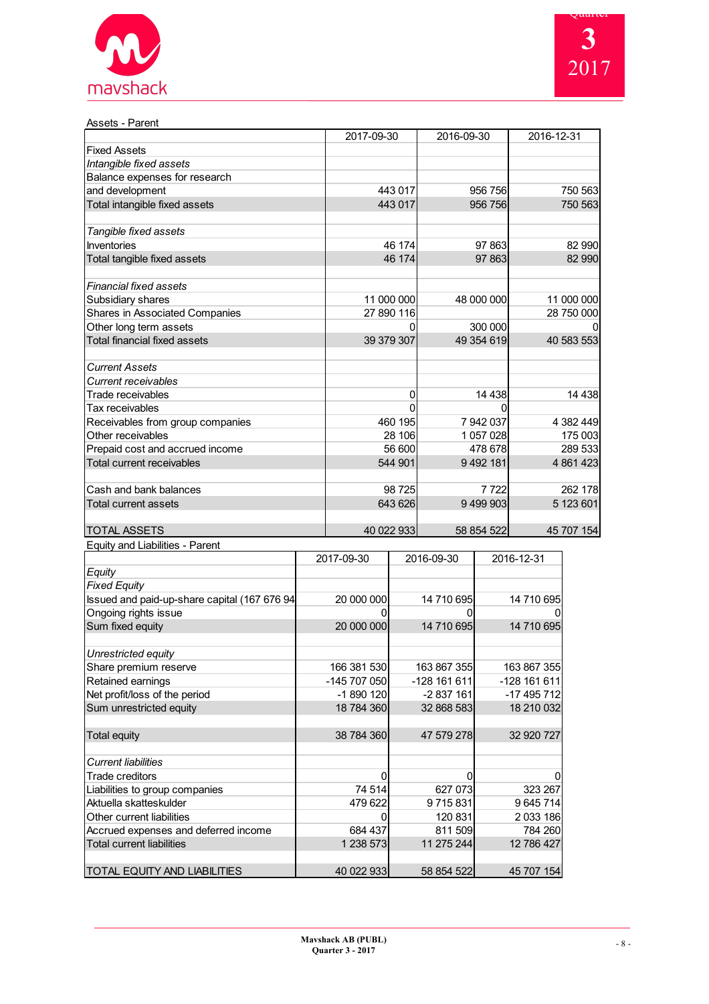



| Assets - Parent                       |            |            |             |
|---------------------------------------|------------|------------|-------------|
|                                       | 2017-09-30 | 2016-09-30 | 2016-12-31  |
| <b>Fixed Assets</b>                   |            |            |             |
| Intangible fixed assets               |            |            |             |
| Balance expenses for research         |            |            |             |
| and development                       | 443 017    | 956 756    | 750 563     |
| Total intangible fixed assets         | 443 017    | 956 756    | 750 563     |
| Tangible fixed assets                 |            |            |             |
| <b>Inventories</b>                    | 46 174     | 97 863     | 82 990      |
| Total tangible fixed assets           | 46 174     | 97 863     | 82 990      |
| Financial fixed assets                |            |            |             |
| Subsidiary shares                     | 11 000 000 | 48 000 000 | 11 000 000  |
| <b>Shares in Associated Companies</b> | 27 890 116 |            | 28 750 000  |
| Other long term assets                |            | 300 000    |             |
| <b>Total financial fixed assets</b>   | 39 379 307 | 49 354 619 | 40 583 553  |
| <b>Current Assets</b>                 |            |            |             |
| Current receivables                   |            |            |             |
| Trade receivables                     | 0          | 14 4 38    | 14 4 38     |
| Tax receivables                       |            | 0          |             |
| Receivables from group companies      | 460 195    | 7 942 037  | 4 382 449   |
| Other receivables                     | 28 106     | 1 057 028  | 175 003     |
| Prepaid cost and accrued income       | 56 600     | 478 678    | 289 533     |
| <b>Total current receivables</b>      | 544 901    | 9 492 181  | 4 8 61 4 23 |
| Cash and bank balances                | 98 725     | 7722       | 262 178     |
| Total current assets                  | 643 626    | 9 499 903  | 5 123 601   |
| <b>TOTAL ASSETS</b>                   | 40 022 933 | 58 854 522 | 45 707 154  |
| Equity and Liabilities - Parent       |            |            |             |

| 9 <del>0007</del> 8008 8000000               | 2017-09-30   | 2016-09-30   | 2016-12-31   |
|----------------------------------------------|--------------|--------------|--------------|
| Equity                                       |              |              |              |
| Fixed Equity                                 |              |              |              |
| Issued and paid-up-share capital (167 676 94 | 20 000 000   | 14 710 695   | 14 710 695   |
| Ongoing rights issue                         |              |              |              |
| Sum fixed equity                             | 20 000 000   | 14 710 695   | 14 710 695   |
|                                              |              |              |              |
| Unrestricted equity                          |              |              |              |
| Share premium reserve                        | 166 381 530  | 163 867 355  | 163 867 355  |
| Retained earnings                            | -145 707 050 | -128 161 611 | -128 161 611 |
| Net profit/loss of the period                | -1 890 120   | -2 837 161   | -17 495 712  |
| Sum unrestricted equity                      | 18 784 360   | 32 868 583   | 18 210 032   |
|                                              |              |              |              |
| <b>Total equity</b>                          | 38 784 360   | 47 579 278   | 32 920 727   |
|                                              |              |              |              |
| <b>Current liabilities</b>                   |              |              |              |
| <b>Trade creditors</b>                       | N            | O            |              |
| Liabilities to group companies               | 74 514       | 627 073      | 323 267      |
| Aktuella skatteskulder                       | 479 622      | 9 715 831    | 9 645 714    |
| Other current liabilities                    |              | 120 831      | 2 033 186    |
| Accrued expenses and deferred income         | 684 437      | 811 509      | 784 260      |
| <b>Total current liabilities</b>             | 1 238 573    | 11 275 244   | 12 786 427   |
|                                              |              |              |              |
| TOTAL EQUITY AND LIABILITIES                 | 40 022 933   | 58 854 522   | 45 707 154   |